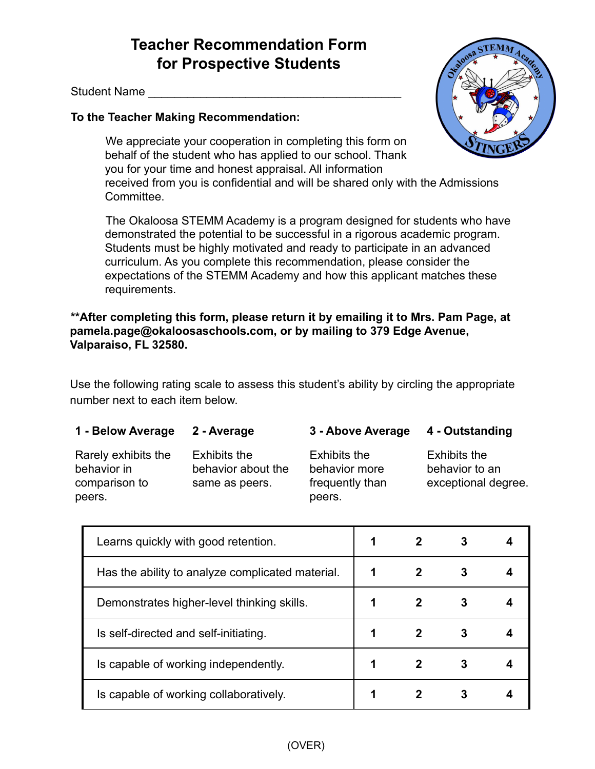## **Teacher Recommendation Form for Prospective Students**

Student Name

## **To the Teacher Making Recommendation:**

We appreciate your cooperation in completing this form on behalf of the student who has applied to our school. Thank you for your time and honest appraisal. All information received from you is confidential and will be shared only with the Admissions

Committee.

The Okaloosa STEMM Academy is a program designed for students who have demonstrated the potential to be successful in a rigorous academic program. Students must be highly motivated and ready to participate in an advanced curriculum. As you complete this recommendation, please consider the expectations of the STEMM Academy and how this applicant matches these requirements.

## **\*\*After completing this form, please return it by emailing it to Mrs. Pam Page, at pamela.page@okaloosaschools.com, or by mailing to 379 Edge Avenue, Valparaiso, FL 32580.**

Use the following rating scale to assess this student's ability by circling the appropriate number next to each item below.

| 1 - Below Average                                             | 2 - Average                                          | 3 - Above Average                                                 | 4 - Outstanding                                              |
|---------------------------------------------------------------|------------------------------------------------------|-------------------------------------------------------------------|--------------------------------------------------------------|
| Rarely exhibits the<br>behavior in<br>comparison to<br>peers. | Exhibits the<br>behavior about the<br>same as peers. | <b>Exhibits the</b><br>behavior more<br>frequently than<br>peers. | <b>Exhibits the</b><br>behavior to an<br>exceptional degree. |

| Learns quickly with good retention.              |  |  |
|--------------------------------------------------|--|--|
| Has the ability to analyze complicated material. |  |  |
| Demonstrates higher-level thinking skills.       |  |  |
| Is self-directed and self-initiating.            |  |  |
| Is capable of working independently.             |  |  |
| Is capable of working collaboratively.           |  |  |